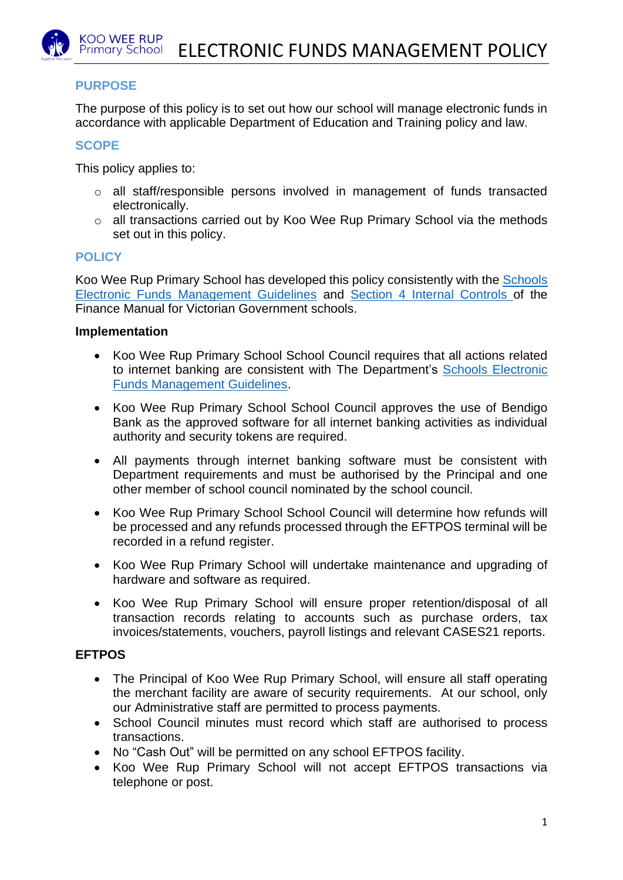# **PURPOSE**

The purpose of this policy is to set out how our school will manage electronic funds in accordance with applicable Department of Education and Training policy and law.

## **SCOPE**

This policy applies to:

- o all staff/responsible persons involved in management of funds transacted electronically.
- o all transactions carried out by Koo Wee Rup Primary School via the methods set out in this policy.

# **POLICY**

Koo Wee Rup Primary School has developed this policy consistently with the [Schools](http://www.education.vic.gov.au/Documents/school/principals/finance/Fin%20Schools%20Electronic%20Funds%20Management%20Guidelines%20V1_2.pdf)  [Electronic Funds Management Guidelines](http://www.education.vic.gov.au/Documents/school/principals/finance/Fin%20Schools%20Electronic%20Funds%20Management%20Guidelines%20V1_2.pdf) and [Section 4 Internal Controls](https://www2.education.vic.gov.au/pal/internal-controls-finance-manual-section-4/policy) of the Finance Manual for Victorian Government schools.

#### **Implementation**

- Koo Wee Rup Primary School School Council requires that all actions related to internet banking are consistent with The Department's [Schools Electronic](http://www.education.vic.gov.au/Documents/school/principals/finance/Fin%20Schools%20Electronic%20Funds%20Management%20Guidelines%20V1_2.pdf)  [Funds Management Guidelines.](http://www.education.vic.gov.au/Documents/school/principals/finance/Fin%20Schools%20Electronic%20Funds%20Management%20Guidelines%20V1_2.pdf)
- Koo Wee Rup Primary School School Council approves the use of Bendigo Bank as the approved software for all internet banking activities as individual authority and security tokens are required.
- All payments through internet banking software must be consistent with Department requirements and must be authorised by the Principal and one other member of school council nominated by the school council.
- Koo Wee Rup Primary School School Council will determine how refunds will be processed and any refunds processed through the EFTPOS terminal will be recorded in a refund register.
- Koo Wee Rup Primary School will undertake maintenance and upgrading of hardware and software as required.
- Koo Wee Rup Primary School will ensure proper retention/disposal of all transaction records relating to accounts such as purchase orders, tax invoices/statements, vouchers, payroll listings and relevant CASES21 reports.

### **EFTPOS**

- The Principal of Koo Wee Rup Primary School, will ensure all staff operating the merchant facility are aware of security requirements. At our school, only our Administrative staff are permitted to process payments.
- School Council minutes must record which staff are authorised to process transactions.
- No "Cash Out" will be permitted on any school EFTPOS facility.
- Koo Wee Rup Primary School will not accept EFTPOS transactions via telephone or post.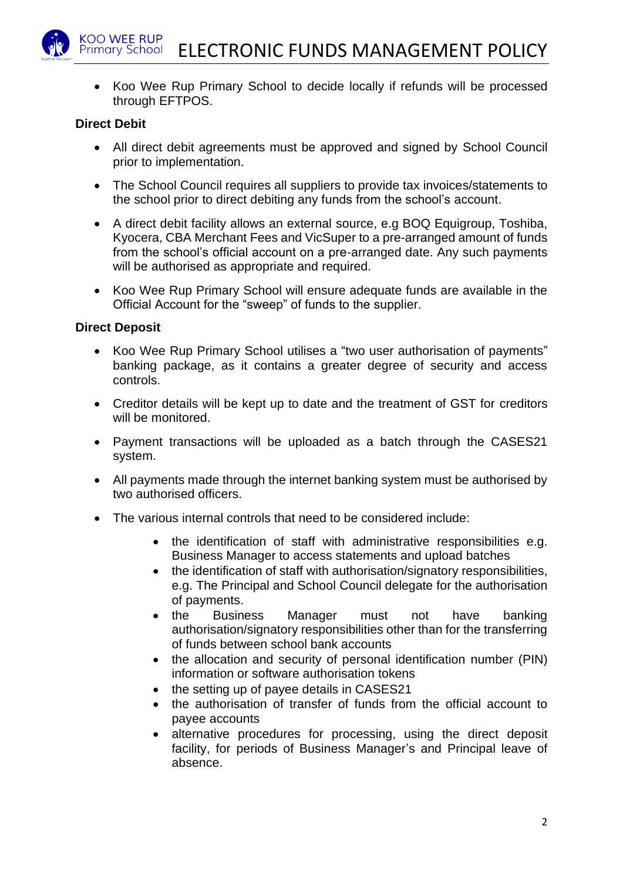• Koo Wee Rup Primary School to decide locally if refunds will be processed through EFTPOS.

#### **Direct Debit**

- All direct debit agreements must be approved and signed by School Council prior to implementation.
- The School Council requires all suppliers to provide tax invoices/statements to the school prior to direct debiting any funds from the school's account.
- A direct debit facility allows an external source, e.g BOQ Equigroup, Toshiba, Kyocera, CBA Merchant Fees and VicSuper to a pre-arranged amount of funds from the school's official account on a pre-arranged date. Any such payments will be authorised as appropriate and required.
- Koo Wee Rup Primary School will ensure adequate funds are available in the Official Account for the "sweep" of funds to the supplier.

#### **Direct Deposit**

- Koo Wee Rup Primary School utilises a "two user authorisation of payments" banking package, as it contains a greater degree of security and access controls.
- Creditor details will be kept up to date and the treatment of GST for creditors will be monitored.
- Payment transactions will be uploaded as a batch through the CASES21 system.
- All payments made through the internet banking system must be authorised by two authorised officers.
- The various internal controls that need to be considered include:
	- the identification of staff with administrative responsibilities e.g. Business Manager to access statements and upload batches
	- the identification of staff with authorisation/signatory responsibilities, e.g. The Principal and School Council delegate for the authorisation of payments.
	- the Business Manager must not have banking authorisation/signatory responsibilities other than for the transferring of funds between school bank accounts
	- the allocation and security of personal identification number (PIN) information or software authorisation tokens
	- the setting up of payee details in CASES21
	- the authorisation of transfer of funds from the official account to payee accounts
	- alternative procedures for processing, using the direct deposit facility, for periods of Business Manager's and Principal leave of absence.